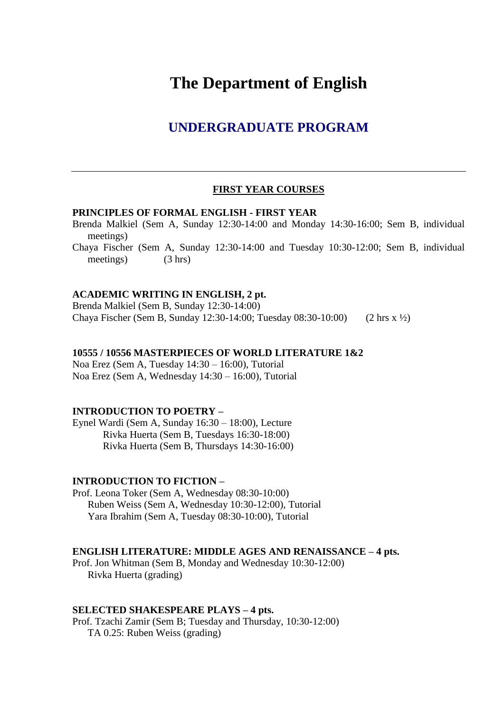# **The Department of English**

# **UNDERGRADUATE PROGRAM**

#### **FIRST YEAR COURSES**

#### **PRINCIPLES OF FORMAL ENGLISH - FIRST YEAR**

Brenda Malkiel (Sem A, Sunday 12:30-14:00 and Monday 14:30-16:00; Sem B, individual meetings)

Chaya Fischer (Sem A, Sunday 12:30-14:00 and Tuesday 10:30-12:00; Sem B, individual meetings) (3 hrs)

#### **ACADEMIC WRITING IN ENGLISH, 2 pt.**

Brenda Malkiel (Sem B, Sunday 12:30-14:00) Chaya Fischer (Sem B, Sunday 12:30-14:00; Tuesday 08:30-10:00) (2 hrs x ½)

#### **10555 / 10556 MASTERPIECES OF WORLD LITERATURE 1&2**

Noa Erez (Sem A, Tuesday 14:30 – 16:00), Tutorial Noa Erez (Sem A, Wednesday 14:30 – 16:00), Tutorial

#### **INTRODUCTION TO POETRY –**

Eynel Wardi (Sem A, Sunday 16:30 – 18:00), Lecture Rivka Huerta (Sem B, Tuesdays 16:30-18:00) Rivka Huerta (Sem B, Thursdays 14:30-16:00)

#### **INTRODUCTION TO FICTION –**

Prof. Leona Toker (Sem A, Wednesday 08:30-10:00) Ruben Weiss (Sem A, Wednesday 10:30-12:00), Tutorial Yara Ibrahim (Sem A, Tuesday 08:30-10:00), Tutorial

#### **ENGLISH LITERATURE: MIDDLE AGES AND RENAISSANCE – 4 pts.**

Prof. Jon Whitman (Sem B, Monday and Wednesday 10:30-12:00) Rivka Huerta (grading)

#### **SELECTED SHAKESPEARE PLAYS – 4 pts.**

Prof. Tzachi Zamir (Sem B; Tuesday and Thursday, 10:30-12:00) TA 0.25: Ruben Weiss (grading)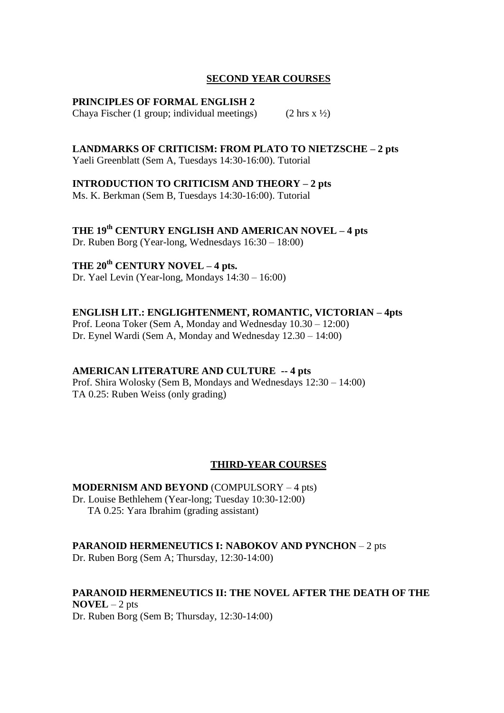# **SECOND YEAR COURSES**

#### **PRINCIPLES OF FORMAL ENGLISH 2**

Chaya Fischer (1 group; individual meetings) (2 hrs  $x \frac{1}{2}$ )

# **LANDMARKS OF CRITICISM: FROM PLATO TO NIETZSCHE – 2 pts**

Yaeli Greenblatt (Sem A, Tuesdays 14:30-16:00). Tutorial

## **INTRODUCTION TO CRITICISM AND THEORY – 2 pts**

Ms. K. Berkman (Sem B, Tuesdays 14:30-16:00). Tutorial

**THE 19th CENTURY ENGLISH AND AMERICAN NOVEL – 4 pts** Dr. Ruben Borg (Year-long, Wednesdays 16:30 – 18:00)

# **THE 20th CENTURY NOVEL – 4 pts.**

Dr. Yael Levin (Year-long, Mondays 14:30 – 16:00)

# **ENGLISH LIT.: ENGLIGHTENMENT, ROMANTIC, VICTORIAN – 4pts**

Prof. Leona Toker (Sem A, Monday and Wednesday 10.30 – 12:00) Dr. Eynel Wardi (Sem A, Monday and Wednesday 12.30 – 14:00)

# **AMERICAN LITERATURE AND CULTURE -- 4 pts**

Prof. Shira Wolosky (Sem B, Mondays and Wednesdays 12:30 – 14:00) TA 0.25: Ruben Weiss (only grading)

# **THIRD-YEAR COURSES**

# **MODERNISM AND BEYOND** (COMPULSORY – 4 pts)

Dr. Louise Bethlehem (Year-long; Tuesday 10:30-12:00) TA 0.25: Yara Ibrahim (grading assistant)

# **PARANOID HERMENEUTICS I: NABOKOV AND PYNCHON - 2 pts**

Dr. Ruben Borg (Sem A; Thursday, 12:30-14:00)

# **PARANOID HERMENEUTICS II: THE NOVEL AFTER THE DEATH OF THE NOVEL** – 2 pts

Dr. Ruben Borg (Sem B; Thursday, 12:30-14:00)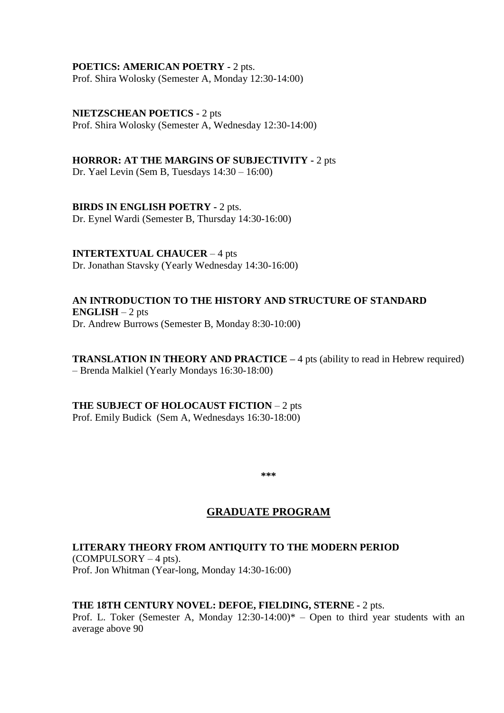#### **POETICS: AMERICAN POETRY -** 2 pts.

Prof. Shira Wolosky (Semester A, Monday 12:30-14:00)

#### **NIETZSCHEAN POETICS -** 2 pts

Prof. Shira Wolosky (Semester A, Wednesday 12:30-14:00)

#### **HORROR: AT THE MARGINS OF SUBJECTIVITY -** 2 pts

Dr. Yael Levin (Sem B, Tuesdays 14:30 – 16:00)

## **BIRDS IN ENGLISH POETRY -** 2 pts.

Dr. Eynel Wardi (Semester B, Thursday 14:30-16:00)

## **INTERTEXTUAL CHAUCER** – 4 pts

Dr. Jonathan Stavsky (Yearly Wednesday 14:30-16:00)

### **AN INTRODUCTION TO THE HISTORY AND STRUCTURE OF STANDARD ENGLISH** – 2 pts Dr. Andrew Burrows (Semester B, Monday 8:30-10:00)

**TRANSLATION IN THEORY AND PRACTICE – 4 pts (ability to read in Hebrew required)** – Brenda Malkiel (Yearly Mondays 16:30-18:00)

# **THE SUBJECT OF HOLOCAUST FICTION** – 2 pts Prof. Emily Budick (Sem A, Wednesdays 16:30-18:00)

**\*\*\***

# **GRADUATE PROGRAM**

# **LITERARY THEORY FROM ANTIQUITY TO THE MODERN PERIOD**

 $(COMPULSORY - 4 pts)$ . Prof. Jon Whitman (Year-long, Monday 14:30-16:00)

#### **THE 18TH CENTURY NOVEL: DEFOE, FIELDING, STERNE -** 2 pts.

Prof. L. Toker (Semester A, Monday  $12:30-14:00$ )\* – Open to third year students with an average above 90